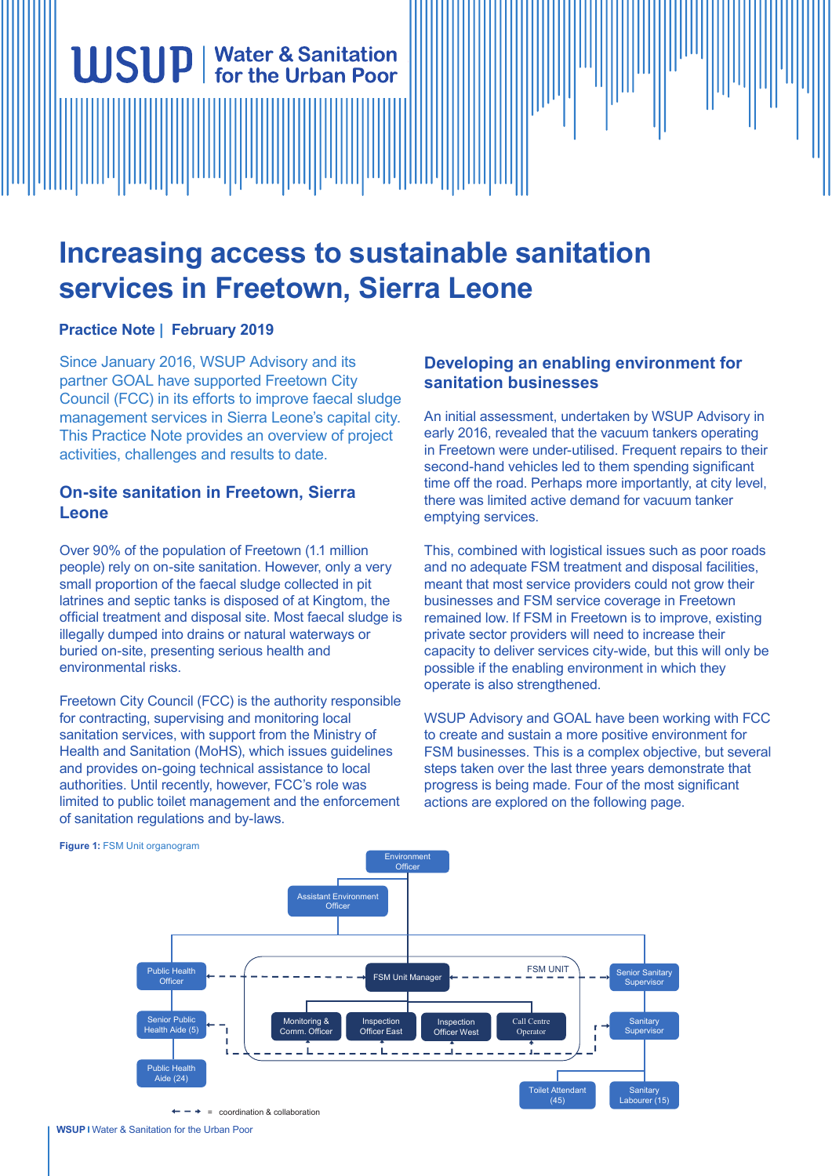# **Increasing access to sustainable sanitation services in Freetown, Sierra Leone**

## **Practice Note | February 2019**

Since January 2016, WSUP Advisory and its partner GOAL have supported Freetown City Council (FCC) in its efforts to improve faecal sludge management services in Sierra Leone's capital city. This Practice Note provides an overview of project activities, challenges and results to date.

**WSUP** | Water & Sanitation

## **On-site sanitation in Freetown, Sierra Leone**

Over 90% of the population of Freetown (1.1 million people) rely on on-site sanitation. However, only a very small proportion of the faecal sludge collected in pit latrines and septic tanks is disposed of at Kingtom, the official treatment and disposal site. Most faecal sludge is illegally dumped into drains or natural waterways or buried on-site, presenting serious health and environmental risks.

Freetown City Council (FCC) is the authority responsible for contracting, supervising and monitoring local sanitation services, with support from the Ministry of Health and Sanitation (MoHS), which issues guidelines and provides on-going technical assistance to local authorities. Until recently, however, FCC's role was limited to public toilet management and the enforcement of sanitation regulations and by-laws.

## **Developing an enabling environment for sanitation businesses**

An initial assessment, undertaken by WSUP Advisory in early 2016, revealed that the vacuum tankers operating in Freetown were under-utilised. Frequent repairs to their second-hand vehicles led to them spending significant time off the road. Perhaps more importantly, at city level, there was limited active demand for vacuum tanker emptying services.

This, combined with logistical issues such as poor roads and no adequate FSM treatment and disposal facilities, meant that most service providers could not grow their businesses and FSM service coverage in Freetown remained low. If FSM in Freetown is to improve, existing private sector providers will need to increase their capacity to deliver services city-wide, but this will only be possible if the enabling environment in which they operate is also strengthened.

WSUP Advisory and GOAL have been working with FCC to create and sustain a more positive environment for FSM businesses. This is a complex objective, but several steps taken over the last three years demonstrate that progress is being made. Four of the most significant actions are explored on the following page.



**Figure 1:** FSM Unit organogram

 $\leftarrow - +$  = coordination & collaboration

**WSUP** Water & Sanitation for the Urban Poor